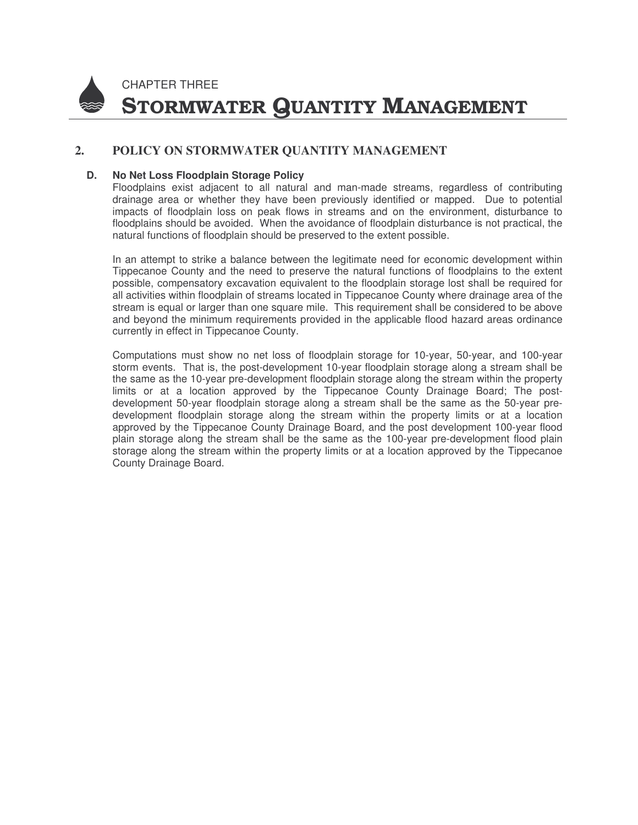

CHAPTER THREE STORMWATER QUANTITY MANAGEMENT

### **2. POLICY ON STORMWATER QUANTITY MANAGEMENT**

#### **D. No Net Loss Floodplain Storage Policy**

Floodplains exist adjacent to all natural and man-made streams, regardless of contributing drainage area or whether they have been previously identified or mapped. Due to potential impacts of floodplain loss on peak flows in streams and on the environment, disturbance to floodplains should be avoided. When the avoidance of floodplain disturbance is not practical, the natural functions of floodplain should be preserved to the extent possible.

In an attempt to strike a balance between the legitimate need for economic development within Tippecanoe County and the need to preserve the natural functions of floodplains to the extent possible, compensatory excavation equivalent to the floodplain storage lost shall be required for all activities within floodplain of streams located in Tippecanoe County where drainage area of the stream is equal or larger than one square mile. This requirement shall be considered to be above and beyond the minimum requirements provided in the applicable flood hazard areas ordinance currently in effect in Tippecanoe County.

Computations must show no net loss of floodplain storage for 10-year, 50-year, and 100-year storm events. That is, the post-development 10-year floodplain storage along a stream shall be the same as the 10-year pre-development floodplain storage along the stream within the property limits or at a location approved by the Tippecanoe County Drainage Board; The postdevelopment 50-year floodplain storage along a stream shall be the same as the 50-year predevelopment floodplain storage along the stream within the property limits or at a location approved by the Tippecanoe County Drainage Board, and the post development 100-year flood plain storage along the stream shall be the same as the 100-year pre-development flood plain storage along the stream within the property limits or at a location approved by the Tippecanoe County Drainage Board.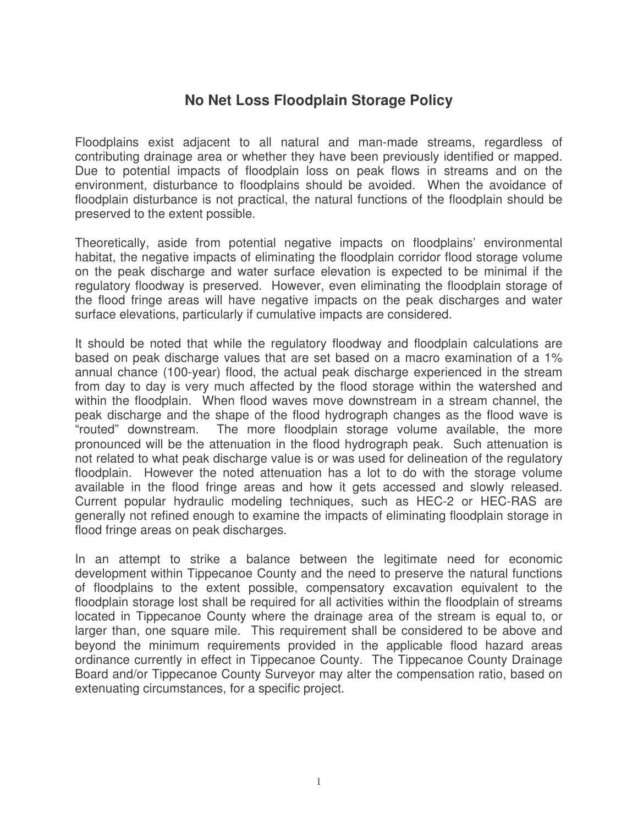## **No Net Loss Floodplain Storage Policy**

Floodplains exist adjacent to all natural and man-made streams, regardless of contributing drainage area or whether they have been previously identified or mapped. Due to potential impacts of floodplain loss on peak flows in streams and on the environment, disturbance to floodplains should be avoided. When the avoidance of floodplain disturbance is not practical, the natural functions of the floodplain should be preserved to the extent possible.

Theoretically, aside from potential negative impacts on floodplains' environmental habitat, the negative impacts of eliminating the floodplain corridor flood storage volume on the peak discharge and water surface elevation is expected to be minimal if the regulatory floodway is preserved. However, even eliminating the floodplain storage of the flood fringe areas will have negative impacts on the peak discharges and water surface elevations, particularly if cumulative impacts are considered.

It should be noted that while the regulatory floodway and floodplain calculations are based on peak discharge values that are set based on a macro examination of a 1% annual chance (100-year) flood, the actual peak discharge experienced in the stream from day to day is very much affected by the flood storage within the watershed and within the floodplain. When flood waves move downstream in a stream channel, the peak discharge and the shape of the flood hydrograph changes as the flood wave is "routed" downstream. The more floodplain storage volume available, the more pronounced will be the attenuation in the flood hydrograph peak. Such attenuation is not related to what peak discharge value is or was used for delineation of the regulatory floodplain. However the noted attenuation has a lot to do with the storage volume available in the flood fringe areas and how it gets accessed and slowly released. Current popular hydraulic modeling techniques, such as HEC-2 or HEC-RAS are generally not refined enough to examine the impacts of eliminating floodplain storage in flood fringe areas on peak discharges.

In an attempt to strike a balance between the legitimate need for economic development within Tippecanoe County and the need to preserve the natural functions of floodplains to the extent possible, compensatory excavation equivalent to the floodplain storage lost shall be required for all activities within the floodplain of streams located in Tippecanoe County where the drainage area of the stream is equal to, or larger than, one square mile. This requirement shall be considered to be above and beyond the minimum requirements provided in the applicable flood hazard areas ordinance currently in effect in Tippecanoe County. The Tippecanoe County Drainage Board and/or Tippecanoe County Surveyor may alter the compensation ratio, based on extenuating circumstances, for a specific project.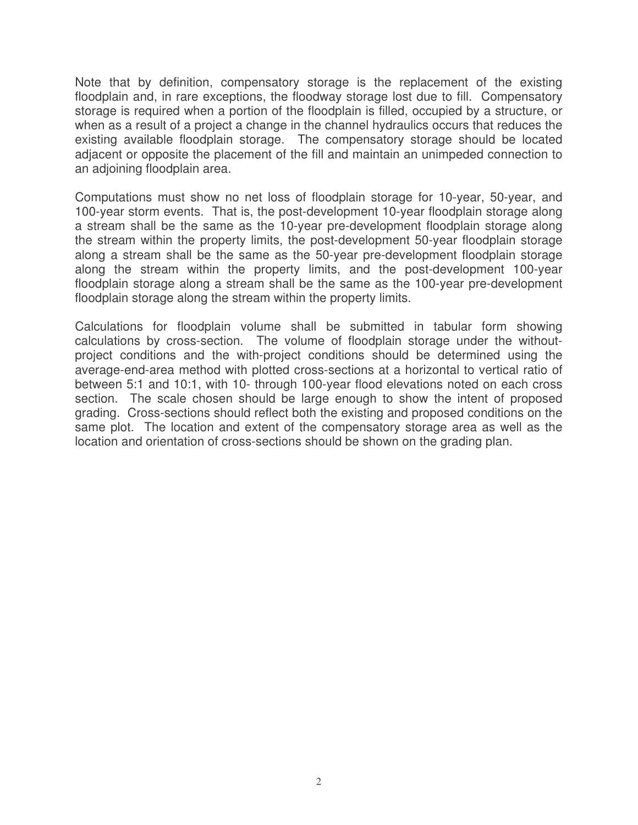Note that by definition, compensatory storage is the replacement of the existing floodplain and, in rare exceptions, the floodway storage lost due to fill. Compensatory storage is required when a portion of the floodplain is filled, occupied by a structure, or when as a result of a project a change in the channel hydraulics occurs that reduces the existing available floodplain storage. The compensatory storage should be located adjacent or opposite the placement of the fill and maintain an unimpeded connection to an adjoining floodplain area.

Computations must show no net loss of floodplain storage for 10-year, 50-year, and 100-year storm events. That is, the post-development 10-year floodplain storage along a stream shall be the same as the 10-year pre-development floodplain storage along the stream within the property limits, the post-development 50-year floodplain storage along a stream shall be the same as the 50-year pre-development floodplain storage along the stream within the property limits, and the post-development 100-year floodplain storage along a stream shall be the same as the 100-year pre-development floodplain storage along the stream within the property limits.

Calculations for floodplain volume shall be submitted in tabular form showing calculations by cross-section. The volume of floodplain storage under the withoutproject conditions and the with-project conditions should be determined using the average-end-area method with plotted cross-sections at a horizontal to vertical ratio of between 5:1 and 10:1, with 10- through 100-year flood elevations noted on each cross section. The scale chosen should be large enough to show the intent of proposed grading. Cross-sections should reflect both the existing and proposed conditions on the same plot. The location and extent of the compensatory storage area as well as the location and orientation of cross-sections should be shown on the grading plan.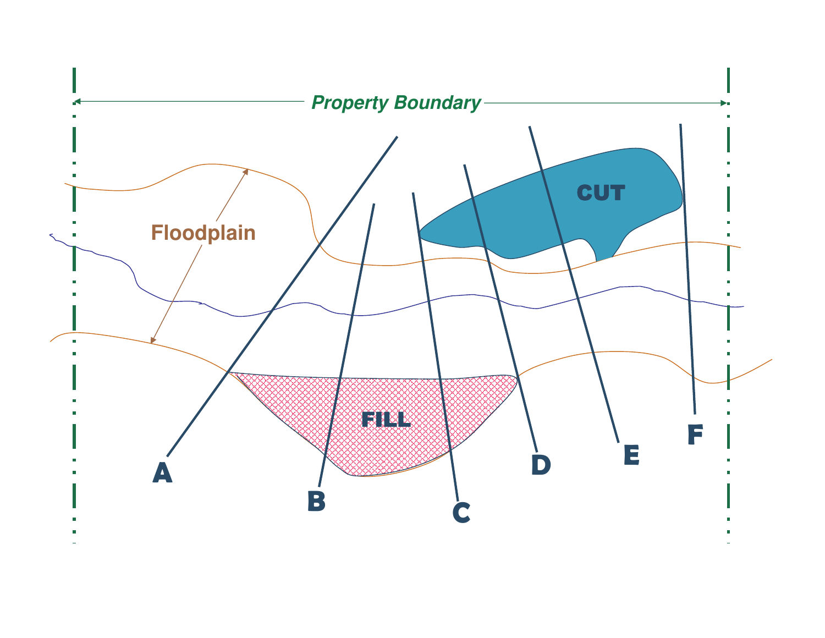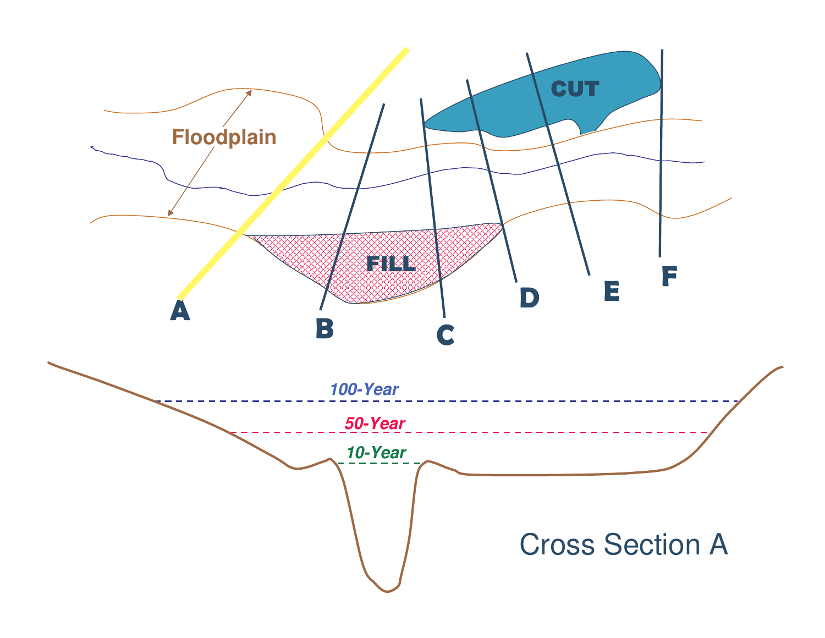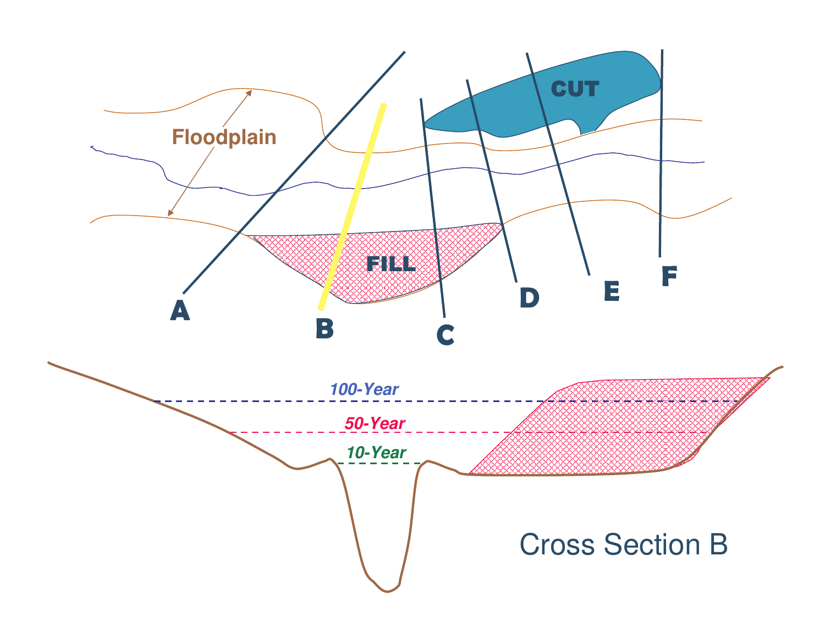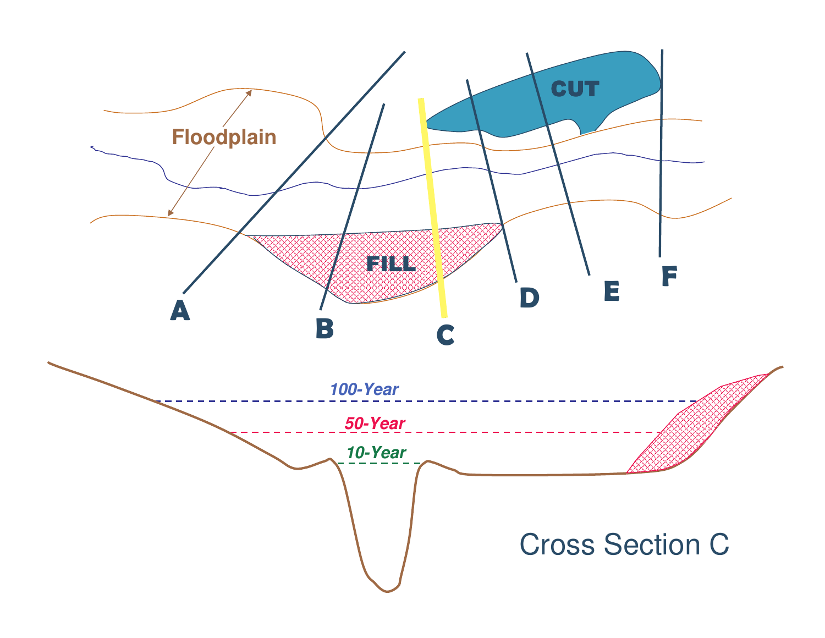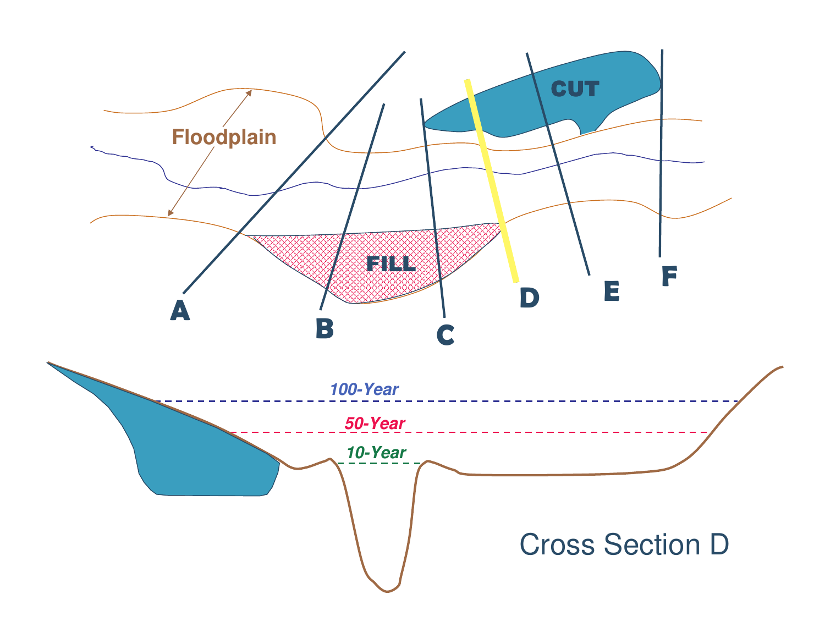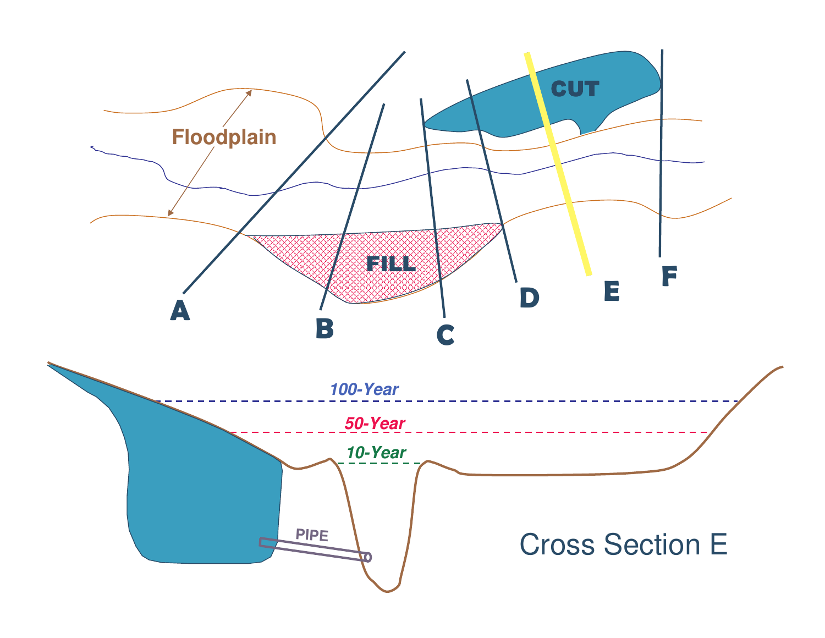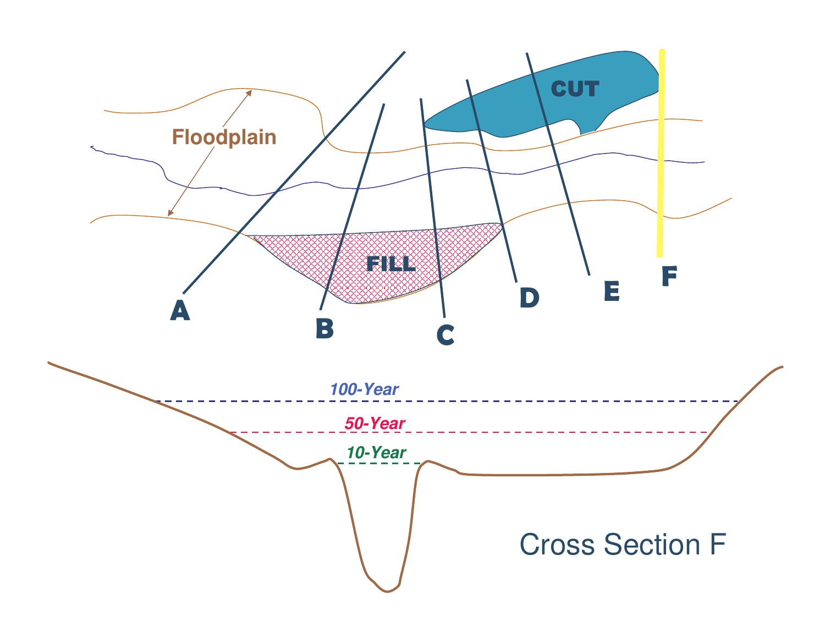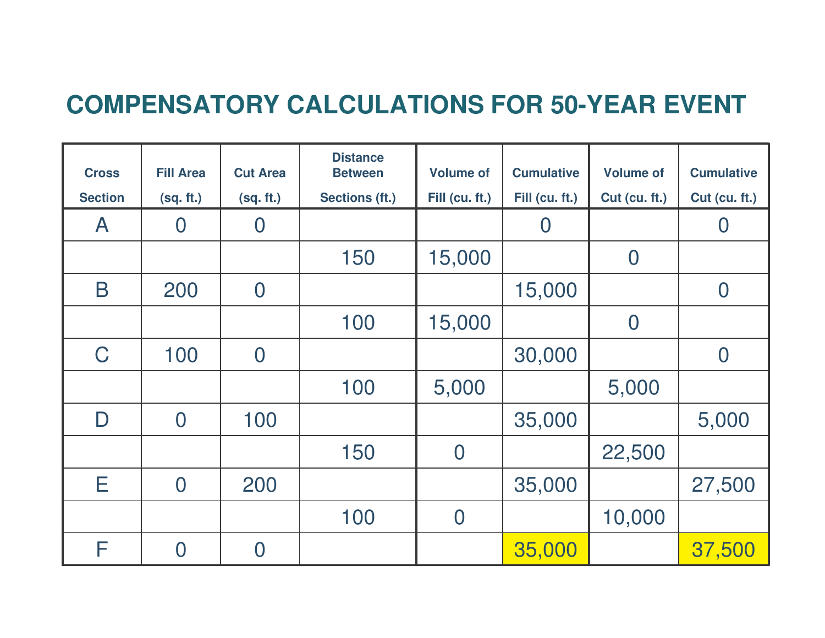# **COMPENSATORY CALCULATIONS FOR 50-YEAR EVENT**

| <b>Cross</b>   | <b>Fill Area</b> | <b>Cut Area</b> | <b>Distance</b><br><b>Between</b> | <b>Volume of</b> | <b>Cumulative</b> | <b>Volume of</b> | <b>Cumulative</b> |
|----------------|------------------|-----------------|-----------------------------------|------------------|-------------------|------------------|-------------------|
| <b>Section</b> | (sq. ft.)        | (sq. ft.)       | Sections (ft.)                    | Fill (cu. ft.)   | Fill (cu. ft.)    | Cut (cu. ft.)    | Cut (cu. ft.)     |
| $\mathsf{A}$   | $\overline{0}$   | $\bm{0}$        |                                   |                  | $\overline{0}$    |                  | $\overline{0}$    |
|                |                  |                 | 150                               | 15,000           |                   | $\overline{0}$   |                   |
| B              | 200              | $\overline{0}$  |                                   |                  | 15,000            |                  | $\bf{0}$          |
|                |                  |                 | 100                               | 15,000           |                   | $\overline{0}$   |                   |
| C              | 100              | $\overline{0}$  |                                   |                  | 30,000            |                  | $\overline{0}$    |
|                |                  |                 | 100                               | 5,000            |                   | 5,000            |                   |
| $\mathsf D$    | $\overline{0}$   | 100             |                                   |                  | 35,000            |                  | 5,000             |
|                |                  |                 | 150                               | $\overline{0}$   |                   | 22,500           |                   |
| E              | $\overline{0}$   | 200             |                                   |                  | 35,000            |                  | 27,500            |
|                |                  |                 | 100                               | $\overline{0}$   |                   | 10,000           |                   |
| F              | $\overline{0}$   | $\bm{0}$        |                                   |                  | 35,000            |                  | 37,500            |